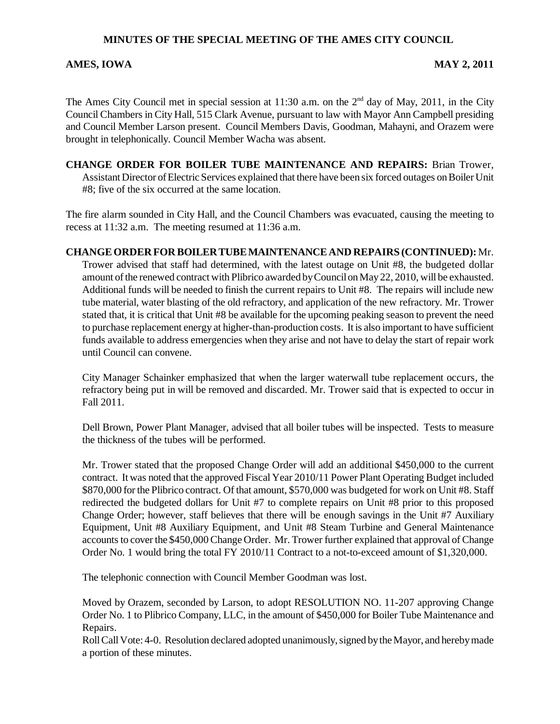## **MINUTES OF THE SPECIAL MEETING OF THE AMES CITY COUNCIL**

### AMES, IOWA **MAY 2, 2011**

The Ames City Council met in special session at 11:30 a.m. on the  $2<sup>nd</sup>$  day of May, 2011, in the City Council Chambers in City Hall, 515 Clark Avenue, pursuant to law with Mayor Ann Campbell presiding and Council Member Larson present. Council Members Davis, Goodman, Mahayni, and Orazem were brought in telephonically. Council Member Wacha was absent.

**CHANGE ORDER FOR BOILER TUBE MAINTENANCE AND REPAIRS:** Brian Trower, Assistant Director of Electric Services explained that there have been six forced outages on Boiler Unit #8; five of the six occurred at the same location.

The fire alarm sounded in City Hall, and the Council Chambers was evacuated, causing the meeting to recess at 11:32 a.m. The meeting resumed at 11:36 a.m.

### **CHANGE ORDER FOR BOILER TUBE MAINTENANCE AND REPAIRS (CONTINUED):** Mr.

Trower advised that staff had determined, with the latest outage on Unit #8, the budgeted dollar amount of the renewed contract with Plibrico awarded by Council on May 22, 2010, will be exhausted. Additional funds will be needed to finish the current repairs to Unit #8. The repairs will include new tube material, water blasting of the old refractory, and application of the new refractory. Mr. Trower stated that, it is critical that Unit #8 be available for the upcoming peaking season to prevent the need to purchase replacement energy at higher-than-production costs. It is also important to have sufficient funds available to address emergencies when they arise and not have to delay the start of repair work until Council can convene.

City Manager Schainker emphasized that when the larger waterwall tube replacement occurs, the refractory being put in will be removed and discarded. Mr. Trower said that is expected to occur in Fall 2011.

Dell Brown, Power Plant Manager, advised that all boiler tubes will be inspected. Tests to measure the thickness of the tubes will be performed.

Mr. Trower stated that the proposed Change Order will add an additional \$450,000 to the current contract. It was noted that the approved Fiscal Year 2010/11 Power Plant Operating Budget included \$870,000 for the Plibrico contract. Of that amount, \$570,000 was budgeted for work on Unit #8. Staff redirected the budgeted dollars for Unit #7 to complete repairs on Unit #8 prior to this proposed Change Order; however, staff believes that there will be enough savings in the Unit #7 Auxiliary Equipment, Unit #8 Auxiliary Equipment, and Unit #8 Steam Turbine and General Maintenance accounts to cover the \$450,000 Change Order. Mr. Trower further explained that approval of Change Order No. 1 would bring the total FY 2010/11 Contract to a not-to-exceed amount of \$1,320,000.

The telephonic connection with Council Member Goodman was lost.

Moved by Orazem, seconded by Larson, to adopt RESOLUTION NO. 11-207 approving Change Order No. 1 to Plibrico Company, LLC, in the amount of \$450,000 for Boiler Tube Maintenance and Repairs.

Roll Call Vote: 4-0. Resolution declared adopted unanimously, signed by the Mayor, and hereby made a portion of these minutes.